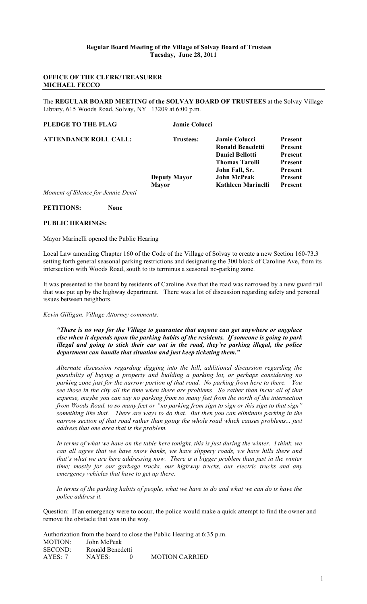# **OFFICE OF THE CLERK/TREASURER MICHAEL FECCO**

The **REGULAR BOARD MEETING of the SOLVAY BOARD OF TRUSTEES** at the Solvay Village Library, 615 Woods Road, Solvay, NY 13209 at 6:00 p.m.

# **PLEDGE TO THE FLAG Jamie Colucci**

| <b>ATTENDANCE ROLL CALL:</b>       | <b>Trustees:</b>    | <b>Jamie Colucci</b>    | <b>Present</b> |
|------------------------------------|---------------------|-------------------------|----------------|
|                                    |                     | <b>Ronald Benedetti</b> | <b>Present</b> |
|                                    |                     | <b>Daniel Bellotti</b>  | <b>Present</b> |
|                                    |                     | <b>Thomas Tarolli</b>   | <b>Present</b> |
|                                    |                     | John Fall, Sr.          | <b>Present</b> |
|                                    | <b>Deputy Mayor</b> | <b>John McPeak</b>      | <b>Present</b> |
|                                    | <b>Mayor</b>        | Kathleen Marinelli      | <b>Present</b> |
| Moment of Silence for Jennie Denti |                     |                         |                |

**PETITIONS: None**

#### **PUBLIC HEARINGS:**

#### Mayor Marinelli opened the Public Hearing

Local Law amending Chapter 160 of the Code of the Village of Solvay to create a new Section 160-73.3 setting forth general seasonal parking restrictions and designating the 300 block of Caroline Ave, from its intersection with Woods Road, south to its terminus a seasonal no-parking zone.

It was presented to the board by residents of Caroline Ave that the road was narrowed by a new guard rail that was put up by the highway department. There was a lot of discussion regarding safety and personal issues between neighbors.

*Kevin Gilligan, Village Attorney comments:* 

*"There is no way for the Village to guarantee that anyone can get anywhere or anyplace else when it depends upon the parking habits of the residents. If someone is going to park illegal and going to stick their car out in the road, they're parking illegal, the police department can handle that situation and just keep ticketing them."*

*Alternate discussion regarding digging into the hill, additional discussion regarding the possibility of buying a property and building a parking lot, or perhaps considering no parking zone just for the narrow portion of that road. No parking from here to there. You see those in the city all the time when there are problems. So rather than incur all of that expense, maybe you can say no parking from so many feet from the north of the intersection from Woods Road, to so many feet or "no parking from sign to sign or this sign to that sign" something like that. There are ways to do that. But then you can eliminate parking in the narrow section of that road rather than going the whole road which causes problems... just address that one area that is the problem.*

*In terms of what we have on the table here tonight, this is just during the winter. I think, we can all agree that we have snow banks, we have slippery roads, we have hills there and that's what we are here addressing now. There is a bigger problem than just in the winter time; mostly for our garbage trucks, our highway trucks, our electric trucks and any emergency vehicles that have to get up there.* 

*In terms of the parking habits of people, what we have to do and what we can do is have the police address it.*

Question: If an emergency were to occur, the police would make a quick attempt to find the owner and remove the obstacle that was in the way.

Authorization from the board to close the Public Hearing at 6:35 p.m. MOTION: John McPeak SECOND: Ronald Benedetti AYES: 7 NAYES: 0 MOTION CARRIED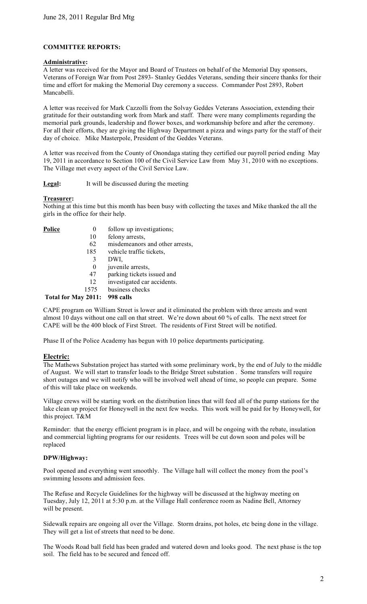# **COMMITTEE REPORTS:**

## **Administrative:**

A letter was received for the Mayor and Board of Trustees on behalf of the Memorial Day sponsors, Veterans of Foreign War from Post 2893- Stanley Geddes Veterans, sending their sincere thanks for their time and effort for making the Memorial Day ceremony a success. Commander Post 2893, Robert Mancabelli.

A letter was received for Mark Cazzolli from the Solvay Geddes Veterans Association, extending their gratitude for their outstanding work from Mark and staff. There were many compliments regarding the memorial park grounds, leadership and flower boxes, and workmanship before and after the ceremony. For all their efforts, they are giving the Highway Department a pizza and wings party for the staff of their day of choice. Mike Masterpole, President of the Geddes Veterans.

A letter was received from the County of Onondaga stating they certified our payroll period ending May 19, 2011 in accordance to Section 100 of the Civil Service Law from May 31, 2010 with no exceptions. The Village met every aspect of the Civil Service Law.

## Legal: It will be discussed during the meeting

## **Treasurer:**

Nothing at this time but this month has been busy with collecting the taxes and Mike thanked the all the girls in the office for their help.

- **Police** 0 follow up investigations;<br>10 felony arrests
	- felony arrests,
	- 62 misdemeanors and other arrests,
	- 185 vehicle traffic tickets,
	- 3 DWI,
	- 0 juvenile arrests,
	- 47 parking tickets issued and
	- 12 investigated car accidents.
	- 1575 business checks

# **Total for May 2011: 998 calls**

CAPE program on William Street is lower and it eliminated the problem with three arrests and went almost 10 days without one call on that street. We're down about 60 % of calls. The next street for CAPE will be the 400 block of First Street. The residents of First Street will be notified.

Phase II of the Police Academy has begun with 10 police departments participating.

## **Electric:**

The Mathews Substation project has started with some preliminary work, by the end of July to the middle of August. We will start to transfer loads to the Bridge Street substation . Some transfers will require short outages and we will notify who will be involved well ahead of time, so people can prepare. Some of this will take place on weekends.

Village crews will be starting work on the distribution lines that will feed all of the pump stations for the lake clean up project for Honeywell in the next few weeks. This work will be paid for by Honeywell, for this project. T&M

Reminder: that the energy efficient program is in place, and will be ongoing with the rebate, insulation and commercial lighting programs for our residents. Trees will be cut down soon and poles will be replaced

## **DPW/Highway:**

Pool opened and everything went smoothly. The Village hall will collect the money from the pool's swimming lessons and admission fees.

The Refuse and Recycle Guidelines for the highway will be discussed at the highway meeting on Tuesday, July 12, 2011 at 5:30 p.m. at the Village Hall conference room as Nadine Bell, Attorney will be present.

Sidewalk repairs are ongoing all over the Village. Storm drains, pot holes, etc being done in the village. They will get a list of streets that need to be done.

The Woods Road ball field has been graded and watered down and looks good. The next phase is the top soil. The field has to be secured and fenced off.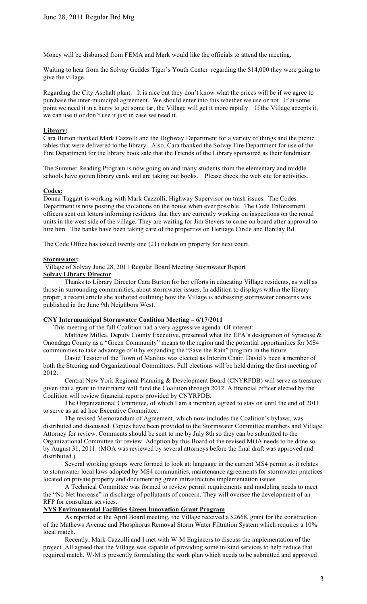Money will be disbursed from FEMA and Mark would like the officials to attend the meeting.

Waiting to hear from the Solvay Geddes Tiger's Youth Center regarding the \$14,000 they were going to give the village.

Regarding the City Asphalt plant: It is nice but they don't know what the prices will be if we agree to purchase the inter-municipal agreement. We should enter into this whether we use or not. If at some point we need it in a hurry to get some tar, the Village will get it more rapidly. If the Village accepts it, we can use it or don't use it just in case we need it.

## **Library:**

Cara Burton thanked Mark Cazzolli and the Highway Department for a variety of things and the picnic tables that were delivered to the library. Also, Cara thanked the Solvay Fire Department for use of the Fire Department for the library book sale that the Friends of the Library sponsored as their fundraiser.

The Summer Reading Program is now going on and many students from the elementary and middle schools have gotten library cards and are taking out books. Please check the web site for activities.

#### **Codes:**

Donna Taggart is working with Mark Cazzolli, Highway Supervisor on trash issues. The Codes Department is now posting the violations on the house when ever possible. The Code Enforcement officers sent out letters informing residents that they are currently working on inspections on the rental units in the west side of the village. They are waiting for Jim Stevers to come on board after approval to hire him. The banks have been taking care of the properties on Heritage Circle and Barclay Rd.

The Code Office has issued twenty one (21) tickets on property for next court.

### **Stormwater:**

Village of Solvay June 28, 2011 Regular Board Meeting Stormwater Report

#### **Solvay Library Director**

Thanks to Library Director Cara Burton for her efforts in educating Village residents, as well as those in surrounding communities, about stormwater issues. In addition to displays within the library proper, a recent article she authored outlining how the Village is addressing stormwater concerns was published in the June 9th Neighbors West.

## **CNY Intermunicipal Stormwater Coalition Meeting – 6/17/2011**

This meeting of the full Coalition had a very aggressive agenda. Of interest:

Matthew Millea, Deputy County Executive, presented what the EPA's designation of Syracuse & Onondaga County as a "Green Community" means to the region and the potential opportunities for MS4 communities to take advantage of it by expanding the "Save the Rain" program in the future.

David Tessier of the Town of Manlius was elected as Interim Chair. David's been a member of both the Steering and Organizational Committees. Full elections will be held during the first meeting of 2012.

Central New York Regional Planning & Development Board (CNYRPDB) will serve as treasurer given that a grant in their name will fund the Coalition through 2012. A financial officer elected by the Coalition will review financial reports provided by CNYRPDB.

The Organizational Committee, of which I am a member, agreed to stay on until the end of 2011 to serve as an ad hoc Executive Committee.

The revised Memorandum of Agreement, which now includes the Coalition's bylaws, was distributed and discussed. Copies have been provided to the Stormwater Committee members and Village Attorney for review. Comments should be sent to me by July 8th so they can be submitted to the Organizational Committee for review. Adoption by this Board of the revised MOA needs to be done so by August 31, 2011. (MOA was reviewed by several attorneys before the final draft was approved and distributed.)

Several working groups were formed to look at: language in the current MS4 permit as it relates to stormwater local laws adopted by MS4 communities, maintenance agreements for stormwater practices located on private property and documenting green infrastructure implementation issues.

A Technical Committee was formed to review permit requirements and modeling needs to meet the "No Net Increase" in discharge of pollutants of concern. They will oversee the development of an RFP for consultant services.

# **NYS Environmental Facilities Green Innovation Grant Program**

As reported at the April Board meeting, the Village received a \$266K grant for the construction of the Mathews Avenue and Phosphorus Removal Storm Water Filtration System which requires a 10% local match.

Recently, Mark Cazzolli and I met with W-M Engineers to discuss the implementation of the project. All agreed that the Village was capable of providing some in-kind services to help reduce that required match. W-M is presently formulating the work plan which needs to be submitted and approved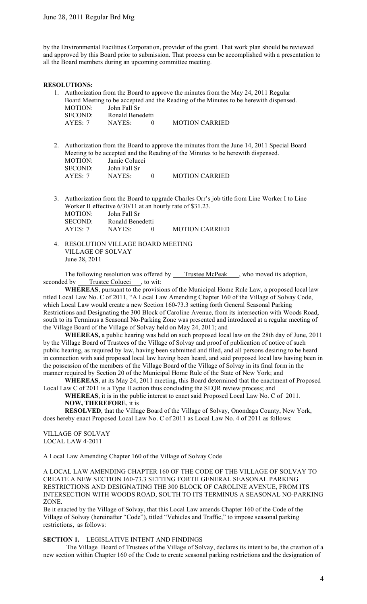by the Environmental Facilities Corporation, provider of the grant. That work plan should be reviewed and approved by this Board prior to submission. That process can be accomplished with a presentation to all the Board members during an upcoming committee meeting.

### **RESOLUTIONS:**

- 1. Authorization from the Board to approve the minutes from the May 24, 2011 Regular Board Meeting to be accepted and the Reading of the Minutes to be herewith dispensed. MOTION: John Fall Sr SECOND: Ronald Benedetti AYES: 7 NAYES: 0 MOTION CARRIED
- 2. Authorization from the Board to approve the minutes from the June 14, 2011 Special Board Meeting to be accepted and the Reading of the Minutes to be herewith dispensed. MOTION: Jamie Colucci<br>SECOND: John Fall Sr John Fall Sr AYES: 7 NAYES: 0 MOTION CARRIED
- 3. Authorization from the Board to upgrade Charles Orr's job title from Line Worker I to Line Worker II effective 6/30/11 at an hourly rate of \$31.23. MOTION: John Fall Sr SECOND: Ronald Benedetti<br>AYES: 7 NAYES: 0 AYES: 7 NAYES: 0 MOTION CARRIED
- 4. RESOLUTION VILLAGE BOARD MEETING VILLAGE OF SOLVAY June 28, 2011

The following resolution was offered by \_\_\_\_Trustee McPeak \_\_\_, who moved its adoption, seconded by Trustee Colucci , to wit:

**WHEREAS**, pursuant to the provisions of the Municipal Home Rule Law, a proposed local law titled Local Law No. C of 2011, "A Local Law Amending Chapter 160 of the Village of Solvay Code, which Local Law would create a new Section 160-73.3 setting forth General Seasonal Parking Restrictions and Designating the 300 Block of Caroline Avenue, from its intersection with Woods Road, south to its Terminus a Seasonal No-Parking Zone was presented and introduced at a regular meeting of the Village Board of the Village of Solvay held on May 24, 2011; and

**WHEREAS,** a public hearing was held on such proposed local law on the 28th day of June, 2011 by the Village Board of Trustees of the Village of Solvay and proof of publication of notice of such public hearing, as required by law, having been submitted and filed, and all persons desiring to be heard in connection with said proposed local law having been heard, and said proposed local law having been in the possession of the members of the Village Board of the Village of Solvay in its final form in the manner required by Section 20 of the Municipal Home Rule of the State of New York; and

**WHEREAS**, at its May 24, 2011 meeting, this Board determined that the enactment of Proposed Local Law C of 2011 is a Type II action thus concluding the SEQR review process; and

**WHEREAS**, it is in the public interest to enact said Proposed Local Law No. C of 2011. **NOW, THEREFORE**, it is

**RESOLVED**, that the Village Board of the Village of Solvay, Onondaga County, New York, does hereby enact Proposed Local Law No. C of 2011 as Local Law No. 4 of 2011 as follows:

VILLAGE OF SOLVAY LOCAL LAW 4-2011

A Local Law Amending Chapter 160 of the Village of Solvay Code

A LOCAL LAW AMENDING CHAPTER 160 OF THE CODE OF THE VILLAGE OF SOLVAY TO CREATE A NEW SECTION 160-73.3 SETTING FORTH GENERAL SEASONAL PARKING RESTRICTIONS AND DESIGNATING THE 300 BLOCK OF CAROLINE AVENUE, FROM ITS INTERSECTION WITH WOODS ROAD, SOUTH TO ITS TERMINUS A SEASONAL NO-PARKING ZONE.

Be it enacted by the Village of Solvay, that this Local Law amends Chapter 160 of the Code of the Village of Solvay (hereinafter "Code"), titled "Vehicles and Traffic," to impose seasonal parking restrictions, as follows:

**SECTION 1.** LEGISLATIVE INTENT AND FINDINGS

 The Village Board of Trustees of the Village of Solvay, declares its intent to be, the creation of a new section within Chapter 160 of the Code to create seasonal parking restrictions and the designation of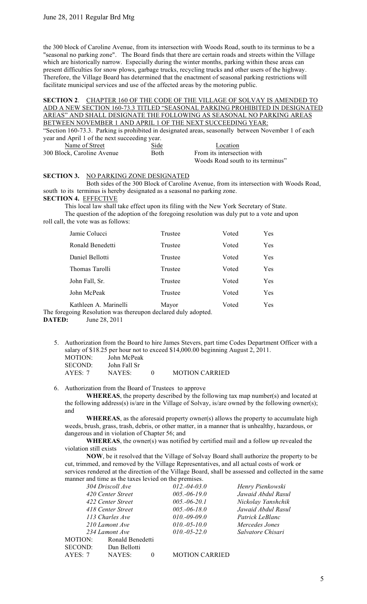the 300 block of Caroline Avenue, from its intersection with Woods Road, south to its terminus to be a "seasonal no parking zone". The Board finds that there are certain roads and streets within the Village which are historically narrow. Especially during the winter months, parking within these areas can present difficulties for snow plows, garbage trucks, recycling trucks and other users of the highway. Therefore, the Village Board has determined that the enactment of seasonal parking restrictions will facilitate municipal services and use of the affected areas by the motoring public.

**SECTION 2**. CHAPTER 160 OF THE CODE OF THE VILLAGE OF SOLVAY IS AMENDED TO ADD A NEW SECTION 160-73.3 TITLED "SEASONAL PARKING PROHIBITED IN DESIGNATED AREAS" AND SHALL DESIGNATE THE FOLLOWING AS SEASONAL NO PARKING AREAS BETWEEN NOVEMBER 1 AND APRIL 1 OF THE NEXT SUCCEEDING YEAR:

"Section 160-73.3. Parking is prohibited in designated areas, seasonally between November 1 of each year and April 1 of the next succeeding year. Name of Street Side Side Location

| Name of Street             | Side | Location                          |
|----------------------------|------|-----------------------------------|
| 300 Block, Caroline Avenue | Both | From its intersection with        |
|                            |      | Woods Road south to its terminus" |

## **SECTION 3.** NO PARKING ZONE DESIGNATED

Both sides of the 300 Block of Caroline Avenue, from its intersection with Woods Road, south to its terminus is hereby designated as a seasonal no parking zone.

**SECTION 4.** EFFECTIVE

This local law shall take effect upon its filing with the New York Secretary of State. The question of the adoption of the foregoing resolution was duly put to a vote and upon

roll call, the vote was as follows:

| Jamie Colucci         | Trustee    | Voted | Yes        |
|-----------------------|------------|-------|------------|
| Ronald Benedetti      | Trustee    | Voted | Yes        |
| Daniel Bellotti       | Trustee    | Voted | Yes        |
| Thomas Tarolli        | Trustee    | Voted | Yes        |
| John Fall, Sr.        | Trustee    | Voted | <b>Yes</b> |
| John McPeak           | Trustee    | Voted | Yes        |
| Kathleen A. Marinelli | Mayor<br>. | Voted | Yes        |

The foregoing Resolution was thereupon declared duly adopted. **DATED:** June 28, 2011

5. Authorization from the Board to hire James Stevers, part time Codes Department Officer with a salary of \$18.25 per hour not to exceed \$14,000.00 beginning August 2, 2011. MOTION: John McPeak SECOND: John Fall Sr

AYES: 7 NAYES: 0 MOTION CARRIED

6. Authorization from the Board of Trustees to approve

**WHEREAS**, the property described by the following tax map number(s) and located at the following address(s) is/are in the Village of Solvay, is/are owned by the following owner(s); and

 **WHEREAS**, as the aforesaid property owner(s) allows the property to accumulate high weeds, brush, grass, trash, debris, or other matter, in a manner that is unhealthy, hazardous, or dangerous and in violation of Chapter 56; and

 **WHEREAS**, the owner(s) was notified by certified mail and a follow up revealed the violation still exists

 **NOW**, be it resolved that the Village of Solvay Board shall authorize the property to be cut, trimmed, and removed by the Village Representatives, and all actual costs of work or services rendered at the direction of the Village Board, shall be assessed and collected in the same manner and time as the taxes levied on the premises.

|         | 304 Driscoll Ave  | $012.-04-03.0$ | Henry Pienkowski   |
|---------|-------------------|----------------|--------------------|
|         | 420 Center Street | $005.-06-19.0$ | Jawaid Abdul Rasul |
|         | 422 Center Street | $005.-06-20.1$ | Nickolay Yanshchik |
|         | 418 Center Street | $005.-06-18.0$ | Jawaid Abdul Rasul |
|         | 113 Charles Ave   | $010.-09-09.0$ | Patrick LeBlanc    |
|         | 210 Lamont Ave    | $010.-05-10.0$ | Mercedes Jones     |
|         | 234 Lamont Ave    | $010.-05-22.0$ | Salvatore Chisari  |
| MOTION: | Ronald Benedetti  |                |                    |
| SECOND: | Dan Bellotti      |                |                    |
|         |                   |                |                    |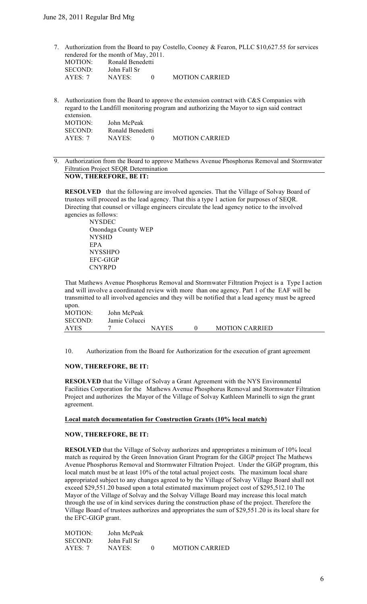7. Authorization from the Board to pay Costello, Cooney & Fearon, PLLC \$10,627.55 for services rendered for the month of May, 2011.

| MOTION:        | Ronald Benedetti |          |                       |
|----------------|------------------|----------|-----------------------|
| <b>SECOND:</b> | John Fall Sr     |          |                       |
| AYES: 7        | NAYES:           | $\theta$ | <b>MOTION CARRIED</b> |

8. Authorization from the Board to approve the extension contract with C&S Companies with regard to the Landfill monitoring program and authorizing the Mayor to sign said contract extension. MOTION: John McPeak

| SECOND: | Ronald Benedetti |                       |
|---------|------------------|-----------------------|
| AYES: 7 | NAYES:           | <b>MOTION CARRIED</b> |
|         |                  |                       |

9. Authorization from the Board to approve Mathews Avenue Phosphorus Removal and Stormwater Filtration Project SEQR Determination **NOW, THEREFORE, BE IT:**

**RESOLVED** that the following are involved agencies. That the Village of Solvay Board of trustees will proceed as the lead agency. That this a type 1 action for purposes of SEQR. Directing that counsel or village engineers circulate the lead agency notice to the involved agencies as follows:

 NYSDEC Onondaga County WEP NYSHD EPA NYSSHPO EFC-GIGP CNYRPD

That Mathews Avenue Phosphorus Removal and Stormwater Filtration Project is a Type I action and will involve a coordinated review with more than one agency. Part 1 of the EAF will be transmitted to all involved agencies and they will be notified that a lead agency must be agreed

upon.<br>MOTION: MOTION: John McPeak<br>SECOND: Jamie Colucc Jamie Colucci AYES 7 NAYES 0 MOTION CARRIED

10. Authorization from the Board for Authorization for the execution of grant agreement

## **NOW, THEREFORE, BE IT:**

**RESOLVED** that the Village of Solvay a Grant Agreement with the NYS Environmental Facilities Corporation for the Mathews Avenue Phosphorus Removal and Stormwater Filtration Project and authorizes the Mayor of the Village of Solvay Kathleen Marinelli to sign the grant agreement.

# **Local match documentation for Construction Grants (10% local match)**

#### **NOW, THEREFORE, BE IT:**

MOTION: John McPeak

**RESOLVED** that the Village of Solvay authorizes and appropriates a minimum of 10% local match as required by the Green Innovation Grant Program for the GIGP project The Mathews Avenue Phosphorus Removal and Stormwater Filtration Project. Under the GIGP program, this local match must be at least 10% of the total actual project costs. The maximum local share appropriated subject to any changes agreed to by the Village of Solvay Village Board shall not exceed \$29,551.20 based upon a total estimated maximum project cost of \$295,512.10 The Mayor of the Village of Solvay and the Solvay Village Board may increase this local match through the use of in kind services during the construction phase of the project. Therefore the Village Board of trustees authorizes and appropriates the sum of \$29,551.20 is its local share for the EFC-GIGP grant.

| MUTIUN:        | John McPeak  |                       |
|----------------|--------------|-----------------------|
| <b>SECOND:</b> | John Fall Sr |                       |
| AYES: 7        | NAYES:       | <b>MOTION CARRIED</b> |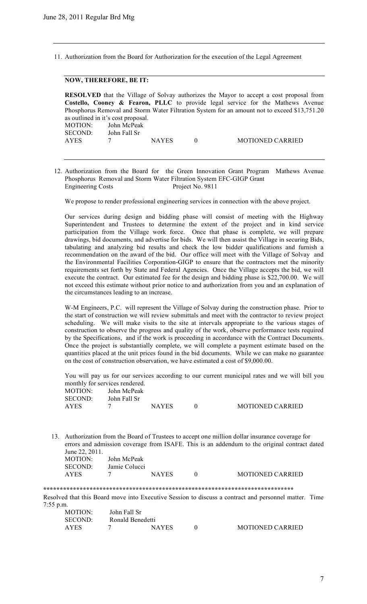11. Authorization from the Board for Authorization for the execution of the Legal Agreement

## **NOW, THEREFORE, BE IT:**

**RESOLVED** that the Village of Solvay authorizes the Mayor to accept a cost proposal from **Costello, Cooney & Fearon, PLLC** to provide legal service for the Mathews Avenue Phosphorus Removal and Storm Water Filtration System for an amount not to exceed \$13,751.20 as outlined in it's cost proposal. MOTION: John McPeak SECOND: John Fall Sr AYES 7 NAYES 0 MOTIONED CARRIED

12. Authorization from the Board for the Green Innovation Grant Program Mathews Avenue Phosphorus Removal and Storm Water Filtration System EFC-GIGP Grant Engineering Costs Project No. 9811

We propose to render professional engineering services in connection with the above project.

Our services during design and bidding phase will consist of meeting with the Highway Superintendent and Trustees to determine the extent of the project and in kind service participation from the Village work force. Once that phase is complete, we will prepare drawings, bid documents, and advertise for bids. We will then assist the Village in securing Bids, tabulating and analyzing bid results and check the low bidder qualifications and furnish a recommendation on the award of the bid. Our office will meet with the Village of Solvay and the Environmental Facilities Corporation-GIGP to ensure that the contractors met the minority requirements set forth by State and Federal Agencies. Once the Village accepts the bid, we will execute the contract. Our estimated fee for the design and bidding phase is \$22,700.00. We will not exceed this estimate without prior notice to and authorization from you and an explanation of the circumstances leading to an increase.

W-M Engineers, P.C. will represent the Village of Solvay during the construction phase. Prior to the start of construction we will review submittals and meet with the contractor to review project scheduling. We will make visits to the site at intervals appropriate to the various stages of construction to observe the progress and quality of the work, observe performance tests required by the Specifications, and if the work is proceeding in accordance with the Contract Documents. Once the project is substantially complete, we will complete a payment estimate based on the quantities placed at the unit prices found in the bid documents. While we can make no guarantee on the cost of construction observation, we have estimated a cost of \$9,000.00.

You will pay us for our services according to our current municipal rates and we will bill you monthly for services rendered.

| MOTION:     | John McPeak  |              |                         |
|-------------|--------------|--------------|-------------------------|
| SECOND:     | John Fall Sr |              |                         |
| <b>AYES</b> |              | <b>NAYES</b> | <b>MOTIONED CARRIED</b> |

13. Authorization from the Board of Trustees to accept one million dollar insurance coverage for errors and admission coverage from ISAFE. This is an addendum to the original contract dated June 22, 2011.

| MOTION:     | John McPeak   |              |                         |
|-------------|---------------|--------------|-------------------------|
| SECOND:     | Jamie Colucci |              |                         |
| <b>AYES</b> |               | <b>NAYES</b> | <b>MOTIONED CARRIED</b> |

**\*\*\*\*\*\*\*\*\*\*\*\*\*\*\*\*\*\*\*\*\*\*\*\*\*\*\*\*\*\*\*\*\*\*\*\*\*\*\*\*\*\*\*\*\*\*\*\*\*\*\*\*\*\*\*\*\*\*\*\*\*\*\*\*\*\*\*\*\*\*\*\*\*\*\*\***

Resolved that this Board move into Executive Session to discuss a contract and personnel matter. Time 7:55 p.m.

| <b>MOTION:</b> | John Fall Sr     |              |                         |
|----------------|------------------|--------------|-------------------------|
| SECOND:        | Ronald Benedetti |              |                         |
| <b>AYES</b>    |                  | <b>NAYES</b> | <b>MOTIONED CARRIED</b> |